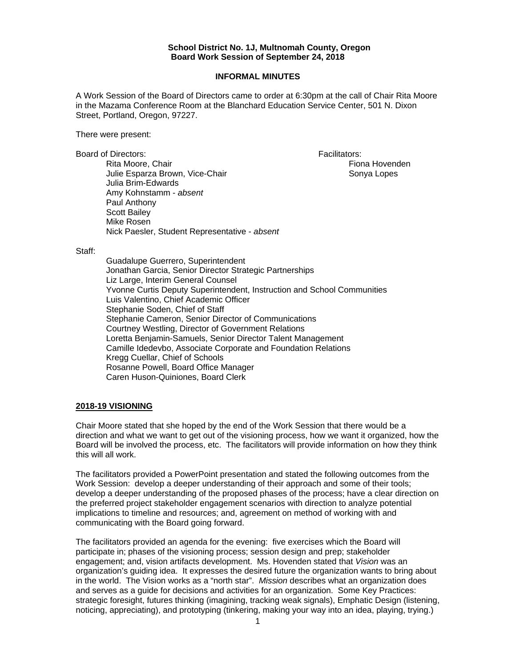## **School District No. 1J, Multnomah County, Oregon Board Work Session of September 24, 2018**

## **INFORMAL MINUTES**

A Work Session of the Board of Directors came to order at 6:30pm at the call of Chair Rita Moore in the Mazama Conference Room at the Blanchard Education Service Center, 501 N. Dixon Street, Portland, Oregon, 97227.

There were present:

Board of Directors: Facilitators:

Rita Moore, Chair **Fiona Hovenden** Hovenden **Fiona Hovenden** Julie Esparza Brown, Vice-Chair Sonya Lopes Julia Brim-Edwards Amy Kohnstamm - *absent*  Paul Anthony Scott Bailey Mike Rosen Nick Paesler, Student Representative - *absent* 

Staff:

 Guadalupe Guerrero, Superintendent Jonathan Garcia, Senior Director Strategic Partnerships Liz Large, Interim General Counsel Yvonne Curtis Deputy Superintendent, Instruction and School Communities Luis Valentino, Chief Academic Officer Stephanie Soden, Chief of Staff Stephanie Cameron, Senior Director of Communications Courtney Westling, Director of Government Relations Loretta Benjamin-Samuels, Senior Director Talent Management Camille Idedevbo, Associate Corporate and Foundation Relations Kregg Cuellar, Chief of Schools Rosanne Powell, Board Office Manager Caren Huson-Quiniones, Board Clerk

## **2018-19 VISIONING**

Chair Moore stated that she hoped by the end of the Work Session that there would be a direction and what we want to get out of the visioning process, how we want it organized, how the Board will be involved the process, etc. The facilitators will provide information on how they think this will all work.

The facilitators provided a PowerPoint presentation and stated the following outcomes from the Work Session: develop a deeper understanding of their approach and some of their tools; develop a deeper understanding of the proposed phases of the process; have a clear direction on the preferred project stakeholder engagement scenarios with direction to analyze potential implications to timeline and resources; and, agreement on method of working with and communicating with the Board going forward.

The facilitators provided an agenda for the evening: five exercises which the Board will participate in; phases of the visioning process; session design and prep; stakeholder engagement; and, vision artifacts development. Ms. Hovenden stated that *Vision* was an organization's guiding idea. It expresses the desired future the organization wants to bring about in the world. The Vision works as a "north star". *Mission* describes what an organization does and serves as a guide for decisions and activities for an organization. Some Key Practices: strategic foresight, futures thinking (imagining, tracking weak signals), Emphatic Design (listening, noticing, appreciating), and prototyping (tinkering, making your way into an idea, playing, trying.)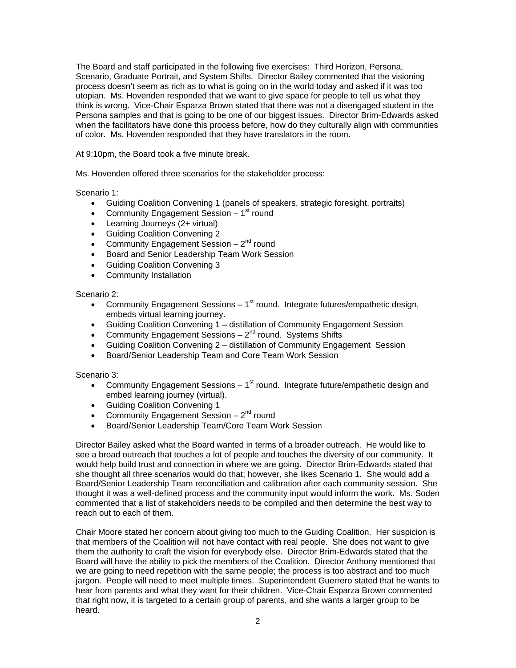The Board and staff participated in the following five exercises: Third Horizon, Persona, Scenario, Graduate Portrait, and System Shifts. Director Bailey commented that the visioning process doesn't seem as rich as to what is going on in the world today and asked if it was too utopian. Ms. Hovenden responded that we want to give space for people to tell us what they think is wrong. Vice-Chair Esparza Brown stated that there was not a disengaged student in the Persona samples and that is going to be one of our biggest issues. Director Brim-Edwards asked when the facilitators have done this process before, how do they culturally align with communities of color. Ms. Hovenden responded that they have translators in the room.

At 9:10pm, the Board took a five minute break.

Ms. Hovenden offered three scenarios for the stakeholder process:

Scenario 1:

- Guiding Coalition Convening 1 (panels of speakers, strategic foresight, portraits)
- Community Engagement Session  $-1<sup>st</sup>$  round
- Learning Journeys (2+ virtual)
- Guiding Coalition Convening 2
- Community Engagement Session  $-2^{nd}$  round
- Board and Senior Leadership Team Work Session
- **Guiding Coalition Convening 3**
- Community Installation

Scenario 2:

- Community Engagement Sessions  $-1<sup>st</sup>$  round. Integrate futures/empathetic design, embeds virtual learning journey.
- Guiding Coalition Convening 1 distillation of Community Engagement Session
- Community Engagement Sessions  $-2^{nd}$  round. Systems Shifts
- Guiding Coalition Convening 2 distillation of Community Engagement Session
- **•** Board/Senior Leadership Team and Core Team Work Session

Scenario 3:

- Community Engagement Sessions  $-1<sup>st</sup>$  round. Integrate future/empathetic design and embed learning journey (virtual).
- **•** Guiding Coalition Convening 1
- Community Engagement Session  $-2^{nd}$  round
- Board/Senior Leadership Team/Core Team Work Session

Director Bailey asked what the Board wanted in terms of a broader outreach. He would like to see a broad outreach that touches a lot of people and touches the diversity of our community. It would help build trust and connection in where we are going. Director Brim-Edwards stated that she thought all three scenarios would do that; however, she likes Scenario 1. She would add a Board/Senior Leadership Team reconciliation and calibration after each community session. She thought it was a well-defined process and the community input would inform the work. Ms. Soden commented that a list of stakeholders needs to be compiled and then determine the best way to reach out to each of them.

Chair Moore stated her concern about giving too much to the Guiding Coalition. Her suspicion is that members of the Coalition will not have contact with real people. She does not want to give them the authority to craft the vision for everybody else. Director Brim-Edwards stated that the Board will have the ability to pick the members of the Coalition. Director Anthony mentioned that we are going to need repetition with the same people; the process is too abstract and too much jargon. People will need to meet multiple times. Superintendent Guerrero stated that he wants to hear from parents and what they want for their children. Vice-Chair Esparza Brown commented that right now, it is targeted to a certain group of parents, and she wants a larger group to be heard.